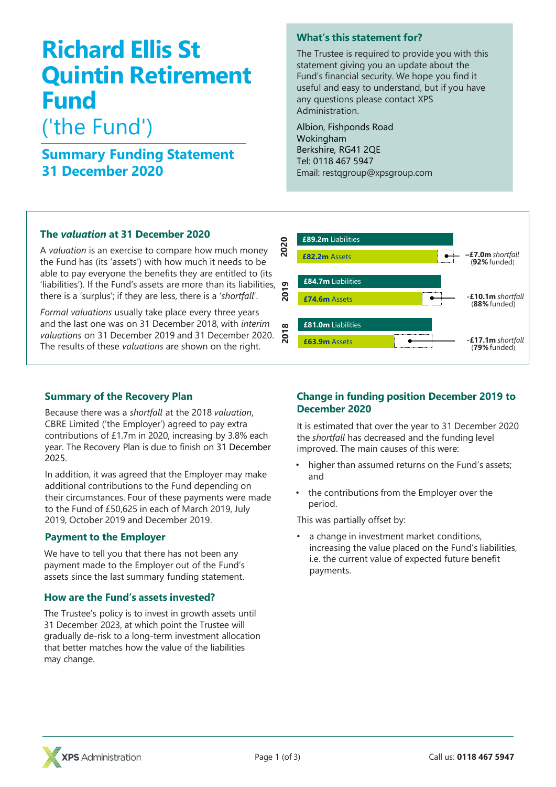# **Richard Ellis St Quintin Retirement Fund**

# ('the Fund')

# **Summary Funding Statement 31 December 2020**

### **What's this statement for?**

The Trustee is required to provide you with this statement giving you an update about the Fund's financial security. We hope you find it useful and easy to understand, but if you have any questions please contact XPS Administration.

Albion, Fishponds Road Wokingham Berkshire, RG41 2QE Tel: 0118 467 5947 Email: restqgroup@xpsgroup.com

## **The** *valuation* **at 31 December 2020**

A *valuation* is an exercise to compare how much money the Fund has (its 'assets') with how much it needs to be able to pay everyone the benefits they are entitled to (its 'liabilities'). If the Fund's assets are more than its liabilities, there is a 'surplus'; if they are less, there is a '*shortfall*'.

*Formal valuations* usually take place every three years and the last one was on 31 December 2018, with *interim valuations* on 31 December 2019 and 31 December 2020. The results of these *valuations* are shown on the right.



### **Summary of the Recovery Plan**

Because there was a *shortfall* at the 2018 *valuation*, CBRE Limited ('the Employer') agreed to pay extra contributions of £1.7m in 2020, increasing by 3.8% each year. The Recovery Plan is due to finish on 31 December 2025.

In addition, it was agreed that the Employer may make additional contributions to the Fund depending on their circumstances. Four of these payments were made to the Fund of £50,625 in each of March 2019, July 2019, October 2019 and December 2019.

### **Payment to the Employer**

We have to tell you that there has not been any payment made to the Employer out of the Fund's assets since the last summary funding statement.

### **How are the Fund's assets invested?**

The Trustee's policy is to invest in growth assets until 31 December 2023, at which point the Trustee will gradually de-risk to a long-term investment allocation that better matches how the value of the liabilities may change.

### **Change in funding position December 2019 to December 2020**

It is estimated that over the year to 31 December 2020 the *shortfall* has decreased and the funding level improved. The main causes of this were:

- higher than assumed returns on the Fund's assets; and
- the contributions from the Employer over the period.

This was partially offset by:

a change in investment market conditions, increasing the value placed on the Fund's liabilities, i.e. the current value of expected future benefit payments.

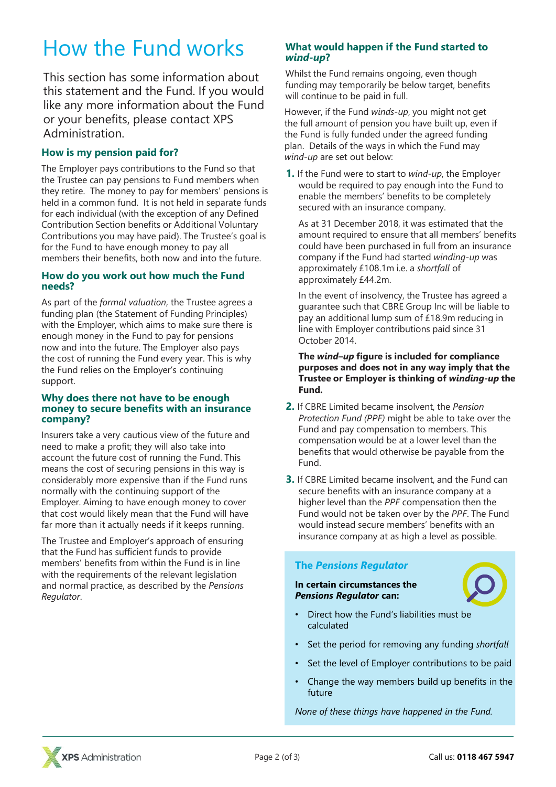# How the Fund works

This section has some information about this statement and the Fund. If you would like any more information about the Fund or your benefits, please contact XPS Administration.

### **How is my pension paid for?**

The Employer pays contributions to the Fund so that the Trustee can pay pensions to Fund members when they retire. The money to pay for members' pensions is held in a common fund. It is not held in separate funds for each individual (with the exception of any Defined Contribution Section benefits or Additional Voluntary Contributions you may have paid). The Trustee's goal is for the Fund to have enough money to pay all members their benefits, both now and into the future.

#### **How do you work out how much the Fund needs?**

As part of the *formal valuation*, the Trustee agrees a funding plan (the Statement of Funding Principles) with the Employer, which aims to make sure there is enough money in the Fund to pay for pensions now and into the future. The Employer also pays the cost of running the Fund every year. This is why the Fund relies on the Employer's continuing support.

#### **Why does there not have to be enough money to secure benefits with an insurance company?**

Insurers take a very cautious view of the future and need to make a profit; they will also take into account the future cost of running the Fund. This means the cost of securing pensions in this way is considerably more expensive than if the Fund runs normally with the continuing support of the Employer. Aiming to have enough money to cover that cost would likely mean that the Fund will have far more than it actually needs if it keeps running.

The Trustee and Employer's approach of ensuring that the Fund has sufficient funds to provide members' benefits from within the Fund is in line with the requirements of the relevant legislation and normal practice, as described by the *Pensions Regulator*.

#### **What would happen if the Fund started to**  *wind-up***?**

Whilst the Fund remains ongoing, even though funding may temporarily be below target, benefits will continue to be paid in full.

However, if the Fund *winds-up*, you might not get the full amount of pension you have built up, even if the Fund is fully funded under the agreed funding plan. Details of the ways in which the Fund may *wind-up* are set out below:

**1.** If the Fund were to start to *wind-up*, the Employer would be required to pay enough into the Fund to enable the members' benefits to be completely secured with an insurance company.

As at 31 December 2018, it was estimated that the amount required to ensure that all members' benefits could have been purchased in full from an insurance company if the Fund had started *winding-up* was approximately £108.1m i.e. a *shortfall* of approximately £44.2m.

In the event of insolvency, the Trustee has agreed a guarantee such that CBRE Group Inc will be liable to pay an additional lump sum of £18.9m reducing in line with Employer contributions paid since 31 October 2014.

**The** *wind–up* **figure is included for compliance purposes and does not in any way imply that the Trustee or Employer is thinking of** *winding-up* **the Fund.**

- **2.** If CBRE Limited became insolvent, the *Pension Protection Fund (PPF)* might be able to take over the Fund and pay compensation to members. This compensation would be at a lower level than the benefits that would otherwise be payable from the Fund.
- **3.** If CBRE Limited became insolvent, and the Fund can secure benefits with an insurance company at a higher level than the *PPF* compensation then the Fund would not be taken over by the *PPF*. The Fund would instead secure members' benefits with an insurance company at as high a level as possible.

### **The** *Pensions Regulator*

**In certain circumstances the** *Pensions Regulator* **can:**



- Direct how the Fund's liabilities must be calculated
- Set the period for removing any funding *shortfall*
- Set the level of Employer contributions to be paid
- Change the way members build up benefits in the future

*None of these things have happened in the Fund.*